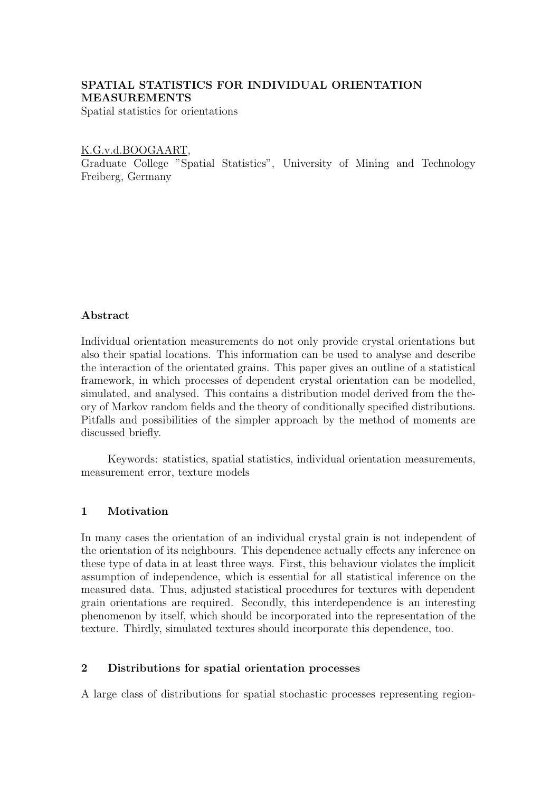# SPATIAL STATISTICS FOR INDIVIDUAL ORIENTATION MEASUREMENTS

Spatial statistics for orientations

## K.G.v.d.BOOGAART,

Graduate College "Spatial Statistics", University of Mining and Technology Freiberg, Germany

# Abstract

Individual orientation measurements do not only provide crystal orientations but also their spatial locations. This information can be used to analyse and describe the interaction of the orientated grains. This paper gives an outline of a statistical framework, in which processes of dependent crystal orientation can be modelled, simulated, and analysed. This contains a distribution model derived from the theory of Markov random fields and the theory of conditionally specified distributions. Pitfalls and possibilities of the simpler approach by the method of moments are discussed briefly.

Keywords: statistics, spatial statistics, individual orientation measurements, measurement error, texture models

# 1 Motivation

In many cases the orientation of an individual crystal grain is not independent of the orientation of its neighbours. This dependence actually effects any inference on these type of data in at least three ways. First, this behaviour violates the implicit assumption of independence, which is essential for all statistical inference on the measured data. Thus, adjusted statistical procedures for textures with dependent grain orientations are required. Secondly, this interdependence is an interesting phenomenon by itself, which should be incorporated into the representation of the texture. Thirdly, simulated textures should incorporate this dependence, too.

# 2 Distributions for spatial orientation processes

A large class of distributions for spatial stochastic processes representing region-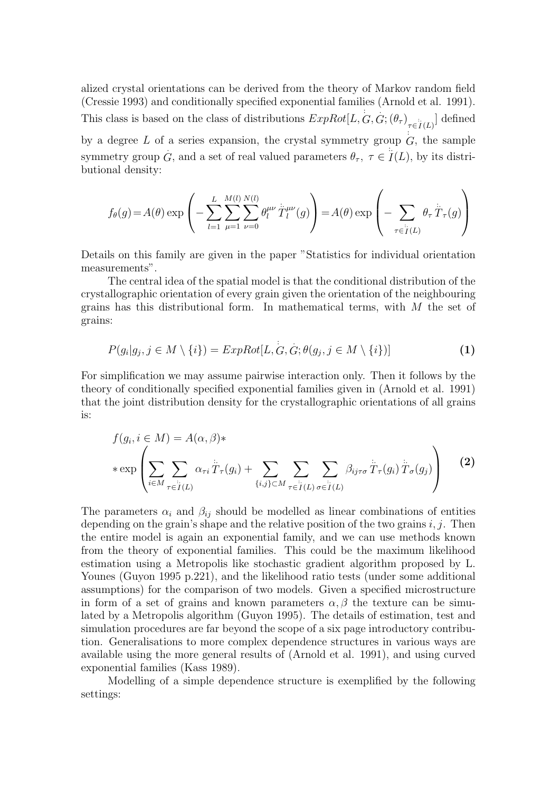alized crystal orientations can be derived from the theory of Markov random field (Cressie 1993) and conditionally specified exponential families (Arnold et al. 1991). This class is based on the class of distributions  $ExpRot[L, G, G; (\theta_{\tau})_{\tau \in I(L)}]$  defined by a degree L of a series expansion, the crystal symmetry group  $\overrightarrow{G}$ , the sample symmetry group  $G$ , and a set of real valued parameters  $\theta_{\tau}$ ,  $\tau \in I(L)$ , by its distributional density:

$$
f_{\theta}(g) = A(\theta) \exp \left(-\sum_{l=1}^{L} \sum_{\mu=1}^{M(l)} \sum_{\nu=0}^{N(l)} \theta_l^{\mu\nu} \ddot{T}_l^{\mu\nu}(g)\right) = A(\theta) \exp \left(-\sum_{\tau \in \ddot{T}(L)} \theta_{\tau} \ddot{T}_{\tau}(g)\right)
$$

Details on this family are given in the paper "Statistics for individual orientation measurements".

The central idea of the spatial model is that the conditional distribution of the crystallographic orientation of every grain given the orientation of the neighbouring grains has this distributional form. In mathematical terms, with  $M$  the set of grains:

$$
P(g_i|g_j, j \in M \setminus \{i\}) = ExpRot[L, G, G; \theta(g_j, j \in M \setminus \{i\})]
$$
\n(1)

For simplification we may assume pairwise interaction only. Then it follows by the theory of conditionally specified exponential families given in (Arnold et al. 1991) that the joint distribution density for the crystallographic orientations of all grains is:

$$
f(g_i, i \in M) = A(\alpha, \beta) * \n* \exp \left( \sum_{i \in M} \sum_{\tau \in \tilde{I}(L)} \alpha_{\tau i} \ddot{T}_{\tau}(g_i) + \sum_{\{i,j\} \subset M} \sum_{\tau \in \tilde{I}(L)} \sum_{\sigma \in \tilde{I}(L)} \beta_{ij\tau\sigma} \ddot{T}_{\tau}(g_i) \ddot{T}_{\sigma}(g_j) \right)
$$
\n(2)

The parameters  $\alpha_i$  and  $\beta_{ij}$  should be modelled as linear combinations of entities depending on the grain's shape and the relative position of the two grains  $i, j$ . Then the entire model is again an exponential family, and we can use methods known from the theory of exponential families. This could be the maximum likelihood estimation using a Metropolis like stochastic gradient algorithm proposed by L. Younes (Guyon 1995 p.221), and the likelihood ratio tests (under some additional assumptions) for the comparison of two models. Given a specified microstructure in form of a set of grains and known parameters  $\alpha, \beta$  the texture can be simulated by a Metropolis algorithm (Guyon 1995). The details of estimation, test and simulation procedures are far beyond the scope of a six page introductory contribution. Generalisations to more complex dependence structures in various ways are available using the more general results of (Arnold et al. 1991), and using curved exponential families (Kass 1989).

Modelling of a simple dependence structure is exemplified by the following settings: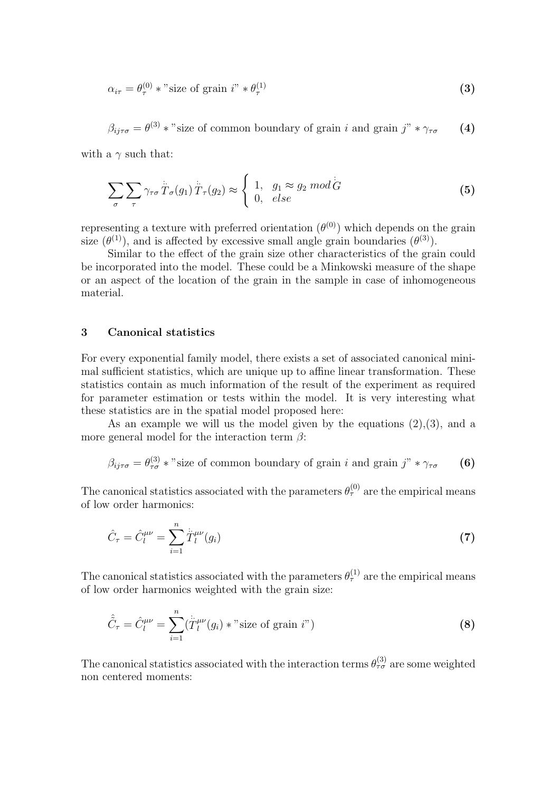$$
\alpha_{i\tau} = \theta_{\tau}^{(0)} * \text{"size of grain i" * \theta_{\tau}^{(1)} \tag{3}
$$

$$
\beta_{ij\tau\sigma} = \theta^{(3)} * \text{"size of common boundary of grain } i \text{ and grain } j\text{"} * \gamma_{\tau\sigma} \qquad (4)
$$

with a  $\gamma$  such that:

$$
\sum_{\sigma} \sum_{\tau} \gamma_{\tau \sigma} \stackrel{\cdot}{T}_{\sigma}(g_1) \stackrel{\cdot}{T}_{\tau}(g_2) \approx \begin{cases} 1, & g_1 \approx g_2 \bmod G \\ 0, & else \end{cases}
$$
 (5)

representing a texture with preferred orientation  $(\theta^{(0)})$  which depends on the grain size  $(\theta^{(1)})$ , and is affected by excessive small angle grain boundaries  $(\theta^{(3)})$ .

Similar to the effect of the grain size other characteristics of the grain could be incorporated into the model. These could be a Minkowski measure of the shape or an aspect of the location of the grain in the sample in case of inhomogeneous material.

### 3 Canonical statistics

For every exponential family model, there exists a set of associated canonical minimal sufficient statistics, which are unique up to affine linear transformation. These statistics contain as much information of the result of the experiment as required for parameter estimation or tests within the model. It is very interesting what these statistics are in the spatial model proposed here:

As an example we will us the model given by the equations  $(2),(3)$ , and a more general model for the interaction term  $\beta$ :

$$
\beta_{ij\tau\sigma} = \theta_{\tau\sigma}^{(3)} * \text{"size of common boundary of grain } i \text{ and grain } j\text{"} * \gamma_{\tau\sigma} \qquad (6)
$$

The canonical statistics associated with the parameters  $\theta_{\tau}^{(0)}$  are the empirical means of low order harmonics:

$$
\hat{C}_{\tau} = \hat{C}_{l}^{\mu\nu} = \sum_{i=1}^{n} \dot{\tilde{T}}_{l}^{\mu\nu}(g_{i})
$$
\n(7)

The canonical statistics associated with the parameters  $\theta_{\tau}^{(1)}$  are the empirical means of low order harmonics weighted with the grain size:

$$
\hat{\tilde{C}}_{\tau} = \hat{C}_{l}^{\mu\nu} = \sum_{i=1}^{n} (\dot{\tilde{T}}_{l}^{\mu\nu}(g_i) * \text{"size of grain i"})
$$
\n(8)

The canonical statistics associated with the interaction terms  $\theta_{\tau\sigma}^{(3)}$  are some weighted non centered moments: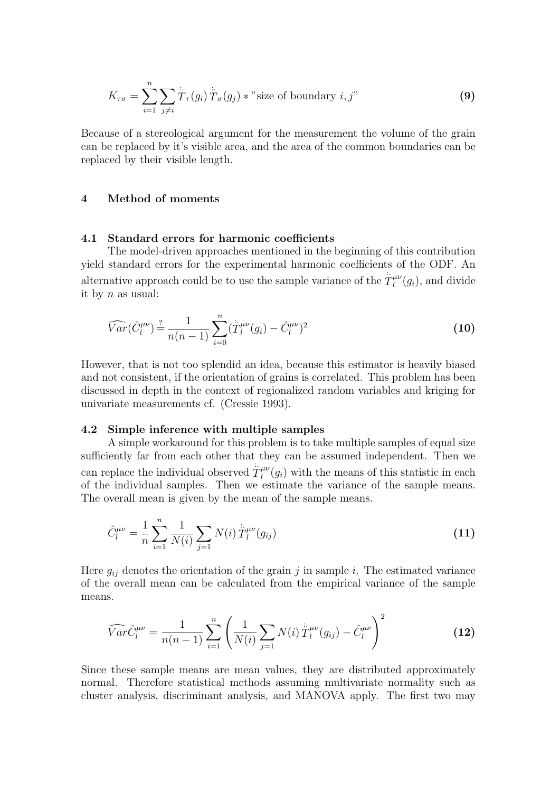$$
K_{\tau\sigma} = \sum_{i=1}^{n} \sum_{j \neq i} \dot{\overline{T}}_{\tau}(g_i) \dot{\overline{T}}_{\sigma}(g_j) * \text{"size of boundary } i, j"
$$
 (9)

Because of a stereological argument for the measurement the volume of the grain can be replaced by it's visible area, and the area of the common boundaries can be replaced by their visible length.

#### 4 Method of moments

### 4.1 Standard errors for harmonic coefficients

The model-driven approaches mentioned in the beginning of this contribution yield standard errors for the experimental harmonic coefficients of the ODF. An alternative approach could be to use the sample variance of the  $T_l^{\mu\nu}$  $\binom{\mu\nu}{l}(g_i)$ , and divide it by  $n$  as usual:

$$
\widehat{Var}(\hat{C}_l^{\mu\nu}) \stackrel{?}{=} \frac{1}{n(n-1)} \sum_{i=0}^n (\stackrel{\cdot}{T}_l^{\mu\nu} (g_i) - \hat{C}_l^{\mu\nu})^2
$$
\n(10)

However, that is not too splendid an idea, because this estimator is heavily biased and not consistent, if the orientation of grains is correlated. This problem has been discussed in depth in the context of regionalized random variables and kriging for univariate measurements cf. (Cressie 1993).

#### 4.2 Simple inference with multiple samples

A simple workaround for this problem is to take multiple samples of equal size sufficiently far from each other that they can be assumed independent. Then we can replace the individual observed  $\hat{T}_l^{\mu\nu}$  $\ell_l^{\mu\nu}(g_i)$  with the means of this statistic in each of the individual samples. Then we estimate the variance of the sample means. The overall mean is given by the mean of the sample means.

$$
\hat{C}_l^{\mu\nu} = \frac{1}{n} \sum_{i=1}^n \frac{1}{N(i)} \sum_{j=1}^n N(i) \, \dot{\bar{T}}_l^{\mu\nu}(g_{ij}) \tag{11}
$$

Here  $g_{ij}$  denotes the orientation of the grain j in sample i. The estimated variance of the overall mean can be calculated from the empirical variance of the sample means.

$$
\widehat{Var}\widehat{C}_l^{\mu\nu} = \frac{1}{n(n-1)}\sum_{i=1}^n \left(\frac{1}{N(i)}\sum_{j=1}^N N(i)\,\ddot{T}_l^{\mu\nu}(g_{ij}) - \hat{C}_l^{\mu\nu}\right)^2 \tag{12}
$$

Since these sample means are mean values, they are distributed approximately normal. Therefore statistical methods assuming multivariate normality such as cluster analysis, discriminant analysis, and MANOVA apply. The first two may